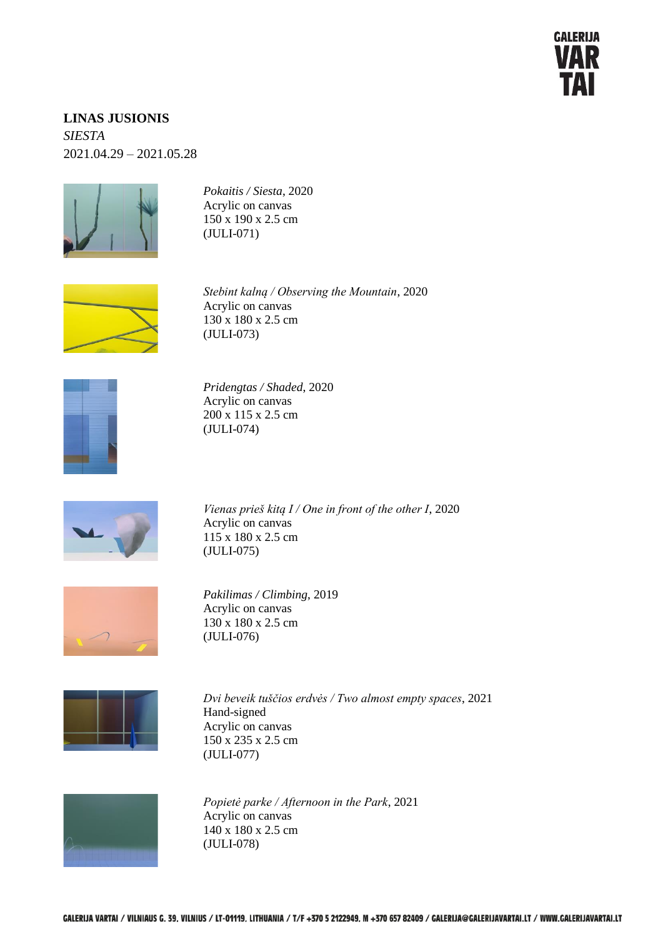

## **LINAS JUSIONIS** *SIESTA*  2021.04.29 – 2021.05.28



*Pokaitis / Siesta*, 2020 Acrylic on canvas 150 x 190 x 2.5 cm (JULI-071)



*Stebint kalną / Observing the Mountain*, 2020 Acrylic on canvas 130 x 180 x 2.5 cm (JULI-073)



*Pridengtas / Shaded*, 2020 Acrylic on canvas 200 x 115 x 2.5 cm (JULI-074)



*Vienas prieš kitą I / One in front of the other I*, 2020 Acrylic on canvas 115 x 180 x 2.5 cm (JULI-075)



*Pakilimas / Climbing*, 2019 Acrylic on canvas 130 x 180 x 2.5 cm (JULI-076)



*Dvi beveik tuščios erdvės / Two almost empty spaces*, 2021 Hand-signed Acrylic on canvas 150 x 235 x 2.5 cm (JULI-077)



*Popietė parke / Afternoon in the Park*, 2021 Acrylic on canvas 140 x 180 x 2.5 cm (JULI-078)